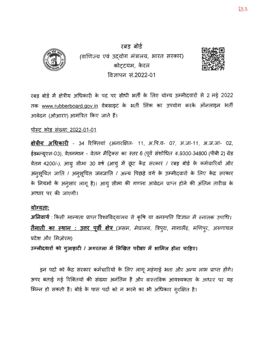

(वाणिज्य एवं उद्योग मंत्रालय, भारत सरकार) कोट्टयम, केरल विज्ञापन सं.2022-01

रबड बोर्ड



रबड़ बोर्ड में क्षेत्रीय अधिकारी के पद पर सीधी भर्ती के लिए योग्य उम्मीदवारों से 2 मई 2022 तक <u>www.rubberboard.gov.in</u> वेबसाइट के भर्ती लिंक का उपयोग करके ऑनलाइन भर्ती आवेदन (ओआरए) आमंत्रित किए जाते हैं।

# <u>पोस्ट कोड संख्या: 2022-01-01</u>

<u>क्षेत्रीय अधिकारी</u> - 34 रिक्तियां (अनारक्षित- 11, अ.पि.व- 07, अ.जा-11, अ.ज.जा- 02, ईडब्ल्यूएस-03), वेतनमान - वेतन मैट्रिक्स का स्तर 6 (पूर्व संशोधित रु.9300-34800 (पीबी 2) ग्रेड वेतन 4200/-), आयु सीमा 30 वर्ष (आयु में छूट केंद्र सरकार / रबड़ बोर्ड के कर्मचारियों और अनुसूचित जाति / अनुसूचित जनजाति / अन्य पिछड़े वर्ग के उम्मीदवारों के लिए केंद्र सरकार के नियमों के अनुसार लागू है)। आयु सीमा की गणना आवेदन प्राप्त होने की अंतिम तारीख के आधार पर की जाएगी।

## योग्यताः

**अनिवार्य** : किसी मान्यता प्राप्त विश्वविद्यालय से कृषि या वनस्पति विज्ञान में स्नातक उपाधि। <u>**तैनाती का स्थान : उत्तर पूर्वी क्षेत्र** (</u>असम, मेघालय, त्रिपुरा, नागालैंड, मणिपुर, अरुणाचल प्रदेश और मिज़ोरम)

उम्मीदवारों को गुआहाटी / अगरतला में लिखित परीक्षा में शामिल होना चाहिए।

इन पदों को केंद्र सरकार कर्मचारियों के लिए लागू महंगाई भत्ता और अन्य लाभ प्राप्त होंगे। ऊपर बताई गई रिक्तियों की संख्या अनंतिम है और वास्तविक आवश्यकता के आधार पर यह 'भिन्न हो सकती है। बोर्ड के पास पदों को न भरने का भी अधिकार सुरक्षित है।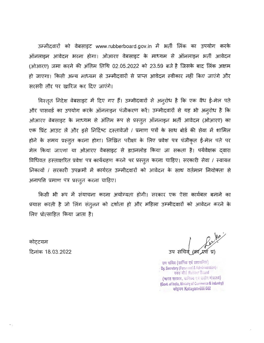उम्मीदवारों को वेबसाइट www.rubberboard.gov.in में भर्ती लिंक का उपयोग करके ऑनलाइन आवेदन भरना होगा। ओआरए वेबसाइट के माध्यम से ऑनलाइन भर्ती आवेदन (ओआरए) जमा करने की अंतिम तिथि 02.05.2022 को 23.59 बजे है जिसके बाद लिंक अक्षम हो जाएगा। किसी अन्य माध्यम से उम्मीदवारों से प्राप्त आवेदन स्वीकार नहीं किए जाएंगे और सरसरी तौर पर खारिज कर दिए जाएंगे।

विस्तृत निदेश वेबसाइट में दिए गए हैं। उम्मीदवारों से अनुरोध है कि एक वैध ई-मेल पते और पासवर्ड का उपयोग करके ऑनलाइन पंजीकरण करें। उम्मीदवारों से यह भी अनूरोध है कि ओआरए वेबसाइट के माध्यम से अंतिम रूप से प्रस्तूत ऑनलाइन भर्ती आवेदन (ओआरए) का एक प्रिंट आउट लें और इसे निर्दिष्ट दस्तावेजों / प्रमाण पत्रों के साथ बोर्ड की सेवा में शामिल होने के समय प्रस्तुत करना होगा। लिखित परीक्षा के लिए प्रवेश पत्र पंजीकृत ई-मेल पते पर मेल किया जाएगा या ओआरए वेबसाइट से डाउनलोड किया जा सकता है। पर्यवेक्षक दवारा विधिवत हस्ताक्षरित प्रवेश पत्र कार्यग्रहण करने पर प्रस्तूत करना चाहिए। सरकारी सेवा / स्वायत निकायों / सरकारी उपक्रमों में कार्यरत उम्मीदवारों को आवेदन के साथ वर्तमान नियोक्ता से अनापति प्रमाण पत्र प्रस्तूत करना चाहिए।

किसी भी रूप में संयाचना करना अयोग्यता होगी। सरकार एक ऐसा कार्यबल बनाने का प्रयास करती है जो लिंग संतुलन को दर्शाता हो और महिला उम्मीदवारों को आवेदन करने के लिए प्रोत्साहित किया जाता है।

कोटटयम दिनांक 18.03.2022

 $\mathcal{F}_{\mathcal{A}}$ 

उप सचिव (कार्मिक एवं प्रशासनिक) Dy. Secretary (Personnel & Administration) ( रबड़ बोर्ड Rubber Board (भारत सरकार, वाणिज्य एवं उद्योग मंत्रालय) (Govt. of India, Ministry of Commerce & Industry) कोट्टयम Kottayam-686 002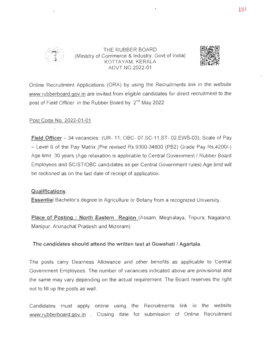

THE RUBBER BOARD (Ministry of Commerce & Industry, Govt of India) KOTTAYAM, KERALA ADVT N0.2022-01



Online Recruitment Applications (ORA) by using the Recruitments link in the website www.rubberboard.gov.in are invited from eligible candidates for direct recruitment to the post of Field Officer in the Rubber Board by 2<sup>nd</sup> May 2022

## Post Code No: 2022-01-01

**Field Officer** - 34 vacancies (UR- 11, OBC- 07, SC-11, ST- 02, EWS-03), Scale of Pay - Level 6 of the Pay Matrix (Pre revised Rs.9300-34800 (PB2) Grade Pay Rs.4200/-) Age limit 30 years (Age relaxation is applicable to Central Government / Rubber Board Employees and SC/ST/OBC candidates as per Central Government rules).Age limit will be reckoned as on the last date of receipt of application.

## **Qualifications:**

Essential: Bachelor's degree in Agriculture or Botany from a recognized University.

Place of Posting : North Eastern Region (Assam, Meghalaya, Tripura, Nagaland, Manipur, Arunachal Pradesh and Mizoram).

## **The candidates should attend the written test at Guwahati I Agartala.**

The posts carry Dearness Allowance and other benefits as applicable to Central Government Employees. The number of vacancies indicated above are provisional and the same may vary depending on the actual requirement. The Board reserves the right not to fill up the posts as well.

Candidates must apply online using the Recruitments link in the website www.rubberboard.gov.in Closing date for submission of Online Recruitment